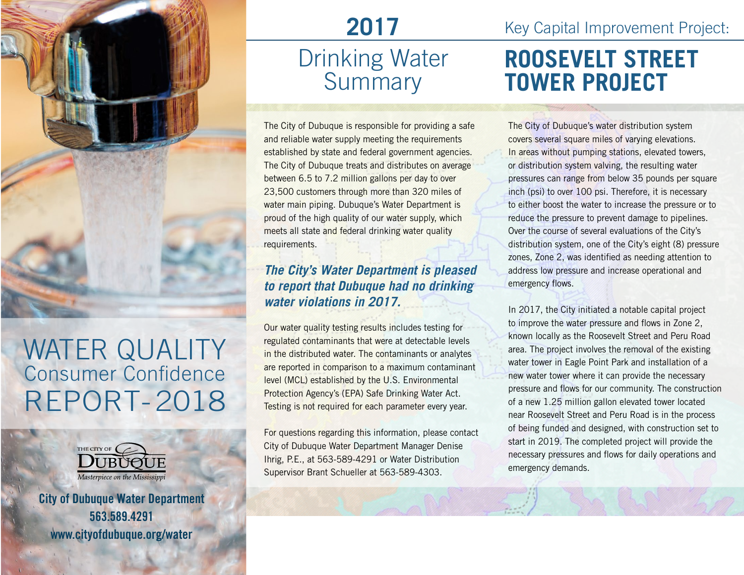

## WATER QUALITY Consumer Confidence REPORT-2018



City of Dubuque Water Department 563.589.4291 www.cityofdubuque.org/water

## **2017**  Drinking Water **Summary**

The City of Dubuque is responsible for providing a safe and reliable water supply meeting the requirements established by state and federal government agencies. The City of Dubuque treats and distributes on average between 6.5 to 7.2 million gallons per day to over 23,500 customers through more than 320 miles of water main piping. Dubuque's Water Department is proud of the high quality of our water supply, which meets all state and federal drinking water quality requirements.

#### *The City's Water Department is pleased to report that Dubuque had no drinking water violations in 2017.*

Our water quality testing results includes testing for regulated contaminants that were at detectable levels in the distributed water. The contaminants or analytes are reported in comparison to a maximum contaminant level (MCL) established by the U.S. Environmental Protection Agency's (EPA) Safe Drinking Water Act. Testing is not required for each parameter every year.

For questions regarding this information, please contact City of Dubuque Water Department Manager Denise Ihrig, P.E., at 563-589-4291 or Water Distribution Supervisor Brant Schueller at 563-589-4303.

Key Capital Improvement Project:

## **ROOSEVELT STREET TOWER PROJECT**

The City of Dubuque's water distribution system covers several square miles of varying elevations. In areas without pumping stations, elevated towers, or distribution system valving, the resulting water pressures can range from below 35 pounds per square inch (psi) to over 100 psi. Therefore, it is necessary to either boost the water to increase the pressure or to reduce the pressure to prevent damage to pipelines. Over the course of several evaluations of the City's distribution system, one of the City's eight (8) pressure zones, Zone 2, was identified as needing attention to address low pressure and increase operational and emergency flows.

In 2017, the City initiated a notable capital project to improve the water pressure and flows in Zone 2, known locally as the Roosevelt Street and Peru Road area. The project involves the removal of the existing water tower in Eagle Point Park and installation of a new water tower where it can provide the necessary pressure and flows for our community. The construction of a new 1.25 million gallon elevated tower located near Roosevelt Street and Peru Road is in the process of being funded and designed, with construction set to start in 2019. The completed project will provide the necessary pressures and flows for daily operations and emergency demands.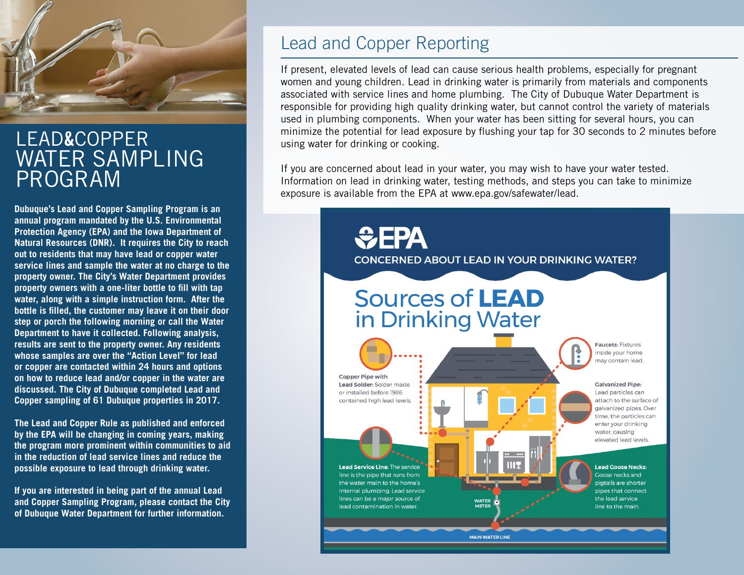

### LEAD&COPPER WATER SAMPLING PROGRAM

**Dubuque's Lead and Copper Sampling Program is an annual program mandated by the U.S. Environmental Protection Agency (EPA) and the Iowa Department of Natural Resources (DNR). It requires the City to reach out to residents that may have lead or copper water service lines and sample the water at no charge to the property owner. The City's Water Department provides property owners with a one-liter bottle to fill with tap water, along with a simple instruction form. After the bottle is filled, the customer may leave it on their door step or porch the following morning or call the Water Department to have it collected. Following analysis, results are sent to the property owner. Any residents whose samples are over the "Action Level" for lead or copper are contacted within 24 hours and options on how to reduce lead and/or copper in the water are discussed. The City of Dubuque completed Lead and Copper sampling of 61 Dubuque properties in 2017.** 

**The Lead and Copper Rule as published and enforced by the EPA will be changing in coming years, making the program more prominent within communities to aid in the reduction of lead service lines and reduce the possible exposure to lead through drinking water.** 

**If you are interested in being part of the annual Lead and Copper Sampling Program, please contact the City of Dubuque Water Department for further information.** 

#### Lead and Copper Reporting

If present, elevated levels of lead can cause serious health problems, especially for pregnant women and young children. Lead in drinking water is primarily from materials and components associated with service lines and home plumbing. The City of Dubuque Water Department is responsible for providing high quality drinking water, but cannot control the variety of materials used in plumbing components. When your water has been sitting for several hours, you can minimize the potential for lead exposure by flushing your tap for 30 seconds to 2 minutes before using water for drinking or cooking.

If you are concerned about lead in your water, you may wish to have your water tested. Information on lead in drinking water, testing methods, and steps you can take to minimize exposure is available from the EPA at www.epa.gov/safewater/lead.

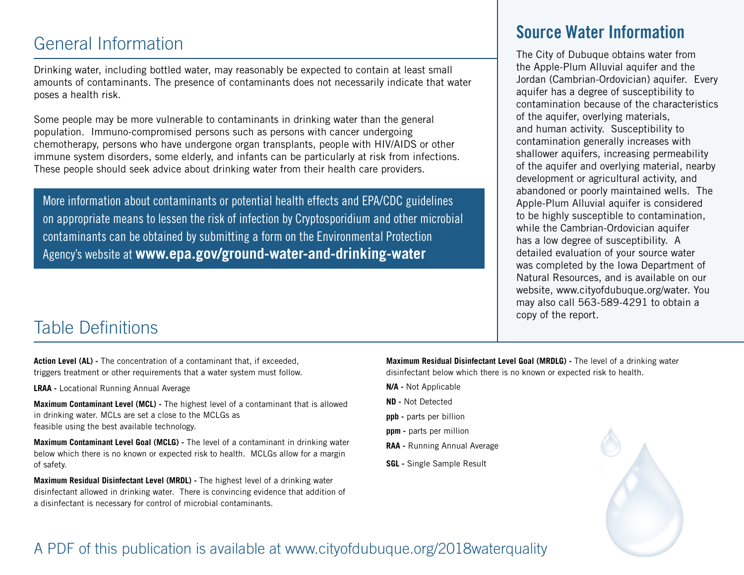#### General Information

Drinking water, including bottled water, may reasonably be expected to contain at least small amounts of contaminants. The presence of contaminants does not necessarily indicate that water poses a health risk.

Some people may be more vulnerable to contaminants in drinking water than the general population. Immuno-compromised persons such as persons with cancer undergoing chemotherapy, persons who have undergone organ transplants, people with HIV/AIDS or other immune system disorders, some elderly, and infants can be particularly at risk from infections. These people should seek advice about drinking water from their health care providers.

More information about contaminants or potential health effects and EPA/CDC guidelines on appropriate means to lessen the risk of infection by Cryptosporidium and other microbial contaminants can be obtained by submitting a form on the Environmental Protection Agency's website at **www.epa.gov/ground-water-and-drinking-water**

#### Table Definitions

**Action Level (AL) -** The concentration of a contaminant that, if exceeded, triggers treatment or other requirements that a water system must follow.

**LRAA -** Locational Running Annual Average

**Maximum Contaminant Level (MCL) -** The highest level of a contaminant that is allowed in drinking water. MCLs are set a close to the MCLGs as feasible using the best available technology.

**Maximum Contaminant Level Goal (MCLG) -** The level of a contaminant in drinking water below which there is no known or expected risk to health. MCLGs allow for a margin of safety.

**Maximum Residual Disinfectant Level (MRDL) -** The highest level of a drinking water disinfectant allowed in drinking water. There is convincing evidence that addition of a disinfectant is necessary for control of microbial contaminants.

#### Source Water Information

The City of Dubuque obtains water from the Apple-Plum Alluvial aquifer and the Jordan (Cambrian-Ordovician) aquifer. Every aquifer has a degree of susceptibility to contamination because of the characteristics of the aquifer, overlying materials, and human activity. Susceptibility to contamination generally increases with shallower aquifers, increasing permeability of the aquifer and overlying material, nearby development or agricultural activity, and abandoned or poorly maintained wells. The Apple-Plum Alluvial aquifer is considered to be highly susceptible to contamination, while the Cambrian-Ordovician aquifer has a low degree of susceptibility. A detailed evaluation of your source water was completed by the Iowa Department of Natural Resources, and is available on our website, www.cityofdubuque.org/water. You may also call 563-589-4291 to obtain a copy of the report.

**Maximum Residual Disinfectant Level Goal (MRDLG) -** The level of a drinking water disinfectant below which there is no known or expected risk to health.

- **N/A** Not Applicable
- **ND -** Not Detected
- **ppb -** parts per billion
- **ppm -** parts per million
- **RAA -** Running Annual Average
- **SGL -** Single Sample Result



#### A PDF of this publication is available at www.cityofdubuque.org/2018waterquality